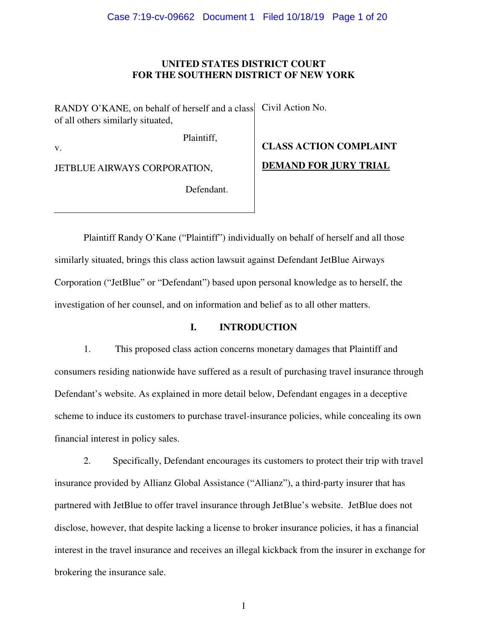## **UNITED STATES DISTRICT COURT FOR THE SOUTHERN DISTRICT OF NEW YORK**

RANDY O'KANE, on behalf of herself and a class of all others similarly situated,

Plaintiff,

Civil Action No.

v.

JETBLUE AIRWAYS CORPORATION,

Defendant.

# **CLASS ACTION COMPLAINT DEMAND FOR JURY TRIAL**

Plaintiff Randy O'Kane ("Plaintiff") individually on behalf of herself and all those similarly situated, brings this class action lawsuit against Defendant JetBlue Airways Corporation ("JetBlue" or "Defendant") based upon personal knowledge as to herself, the investigation of her counsel, and on information and belief as to all other matters.

# **I. INTRODUCTION**

1. This proposed class action concerns monetary damages that Plaintiff and consumers residing nationwide have suffered as a result of purchasing travel insurance through Defendant's website. As explained in more detail below, Defendant engages in a deceptive scheme to induce its customers to purchase travel-insurance policies, while concealing its own financial interest in policy sales.

2. Specifically, Defendant encourages its customers to protect their trip with travel insurance provided by Allianz Global Assistance ("Allianz"), a third-party insurer that has partnered with JetBlue to offer travel insurance through JetBlue's website. JetBlue does not disclose, however, that despite lacking a license to broker insurance policies, it has a financial interest in the travel insurance and receives an illegal kickback from the insurer in exchange for brokering the insurance sale.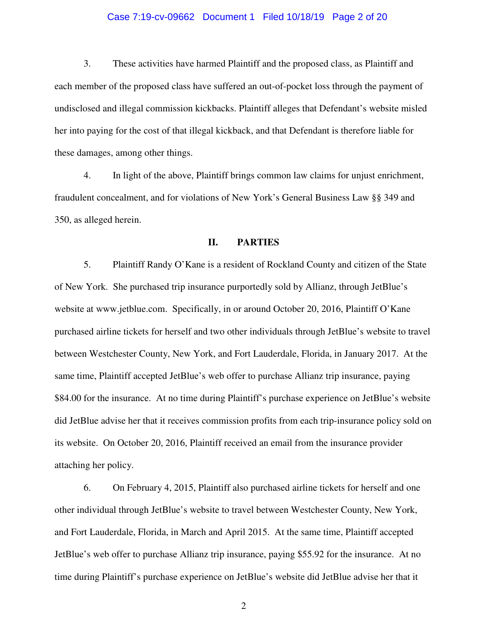## Case 7:19-cv-09662 Document 1 Filed 10/18/19 Page 2 of 20

3. These activities have harmed Plaintiff and the proposed class, as Plaintiff and each member of the proposed class have suffered an out-of-pocket loss through the payment of undisclosed and illegal commission kickbacks. Plaintiff alleges that Defendant's website misled her into paying for the cost of that illegal kickback, and that Defendant is therefore liable for these damages, among other things.

4. In light of the above, Plaintiff brings common law claims for unjust enrichment, fraudulent concealment, and for violations of New York's General Business Law §§ 349 and 350, as alleged herein.

## **II. PARTIES**

5. Plaintiff Randy O'Kane is a resident of Rockland County and citizen of the State of New York. She purchased trip insurance purportedly sold by Allianz, through JetBlue's website at www.jetblue.com. Specifically, in or around October 20, 2016, Plaintiff O'Kane purchased airline tickets for herself and two other individuals through JetBlue's website to travel between Westchester County, New York, and Fort Lauderdale, Florida, in January 2017. At the same time, Plaintiff accepted JetBlue's web offer to purchase Allianz trip insurance, paying \$84.00 for the insurance. At no time during Plaintiff's purchase experience on JetBlue's website did JetBlue advise her that it receives commission profits from each trip-insurance policy sold on its website. On October 20, 2016, Plaintiff received an email from the insurance provider attaching her policy.

6. On February 4, 2015, Plaintiff also purchased airline tickets for herself and one other individual through JetBlue's website to travel between Westchester County, New York, and Fort Lauderdale, Florida, in March and April 2015. At the same time, Plaintiff accepted JetBlue's web offer to purchase Allianz trip insurance, paying \$55.92 for the insurance. At no time during Plaintiff's purchase experience on JetBlue's website did JetBlue advise her that it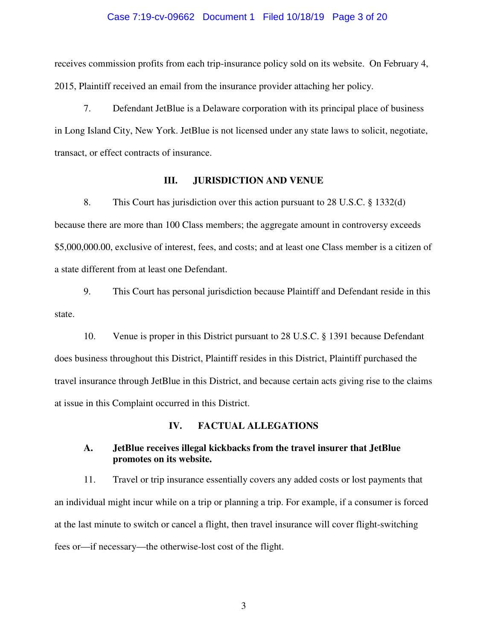## Case 7:19-cv-09662 Document 1 Filed 10/18/19 Page 3 of 20

receives commission profits from each trip-insurance policy sold on its website. On February 4, 2015, Plaintiff received an email from the insurance provider attaching her policy.

7. Defendant JetBlue is a Delaware corporation with its principal place of business in Long Island City, New York. JetBlue is not licensed under any state laws to solicit, negotiate, transact, or effect contracts of insurance.

## **III. JURISDICTION AND VENUE**

8. This Court has jurisdiction over this action pursuant to 28 U.S.C. § 1332(d) because there are more than 100 Class members; the aggregate amount in controversy exceeds \$5,000,000.00, exclusive of interest, fees, and costs; and at least one Class member is a citizen of a state different from at least one Defendant.

9. This Court has personal jurisdiction because Plaintiff and Defendant reside in this state.

10. Venue is proper in this District pursuant to 28 U.S.C. § 1391 because Defendant does business throughout this District, Plaintiff resides in this District, Plaintiff purchased the travel insurance through JetBlue in this District, and because certain acts giving rise to the claims at issue in this Complaint occurred in this District.

## **IV. FACTUAL ALLEGATIONS**

## **A. JetBlue receives illegal kickbacks from the travel insurer that JetBlue promotes on its website.**

11. Travel or trip insurance essentially covers any added costs or lost payments that an individual might incur while on a trip or planning a trip. For example, if a consumer is forced at the last minute to switch or cancel a flight, then travel insurance will cover flight-switching fees or—if necessary—the otherwise-lost cost of the flight.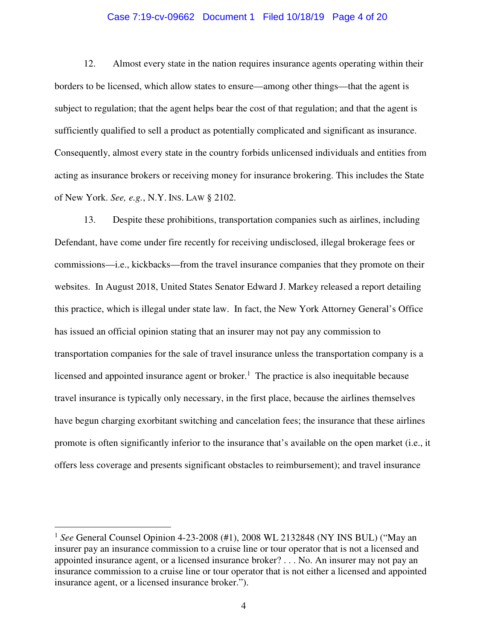## Case 7:19-cv-09662 Document 1 Filed 10/18/19 Page 4 of 20

12. Almost every state in the nation requires insurance agents operating within their borders to be licensed, which allow states to ensure—among other things—that the agent is subject to regulation; that the agent helps bear the cost of that regulation; and that the agent is sufficiently qualified to sell a product as potentially complicated and significant as insurance. Consequently, almost every state in the country forbids unlicensed individuals and entities from acting as insurance brokers or receiving money for insurance brokering. This includes the State of New York. *See, e.g.*, N.Y. INS. LAW § 2102.

13. Despite these prohibitions, transportation companies such as airlines, including Defendant, have come under fire recently for receiving undisclosed, illegal brokerage fees or commissions—i.e., kickbacks—from the travel insurance companies that they promote on their websites. In August 2018, United States Senator Edward J. Markey released a report detailing this practice, which is illegal under state law. In fact, the New York Attorney General's Office has issued an official opinion stating that an insurer may not pay any commission to transportation companies for the sale of travel insurance unless the transportation company is a licensed and appointed insurance agent or broker.<sup>1</sup> The practice is also inequitable because travel insurance is typically only necessary, in the first place, because the airlines themselves have begun charging exorbitant switching and cancelation fees; the insurance that these airlines promote is often significantly inferior to the insurance that's available on the open market (i.e., it offers less coverage and presents significant obstacles to reimbursement); and travel insurance

 $\overline{a}$ 

<sup>&</sup>lt;sup>1</sup> See General Counsel Opinion 4-23-2008 (#1), 2008 WL 2132848 (NY INS BUL) ("May an insurer pay an insurance commission to a cruise line or tour operator that is not a licensed and appointed insurance agent, or a licensed insurance broker? . . . No. An insurer may not pay an insurance commission to a cruise line or tour operator that is not either a licensed and appointed insurance agent, or a licensed insurance broker.").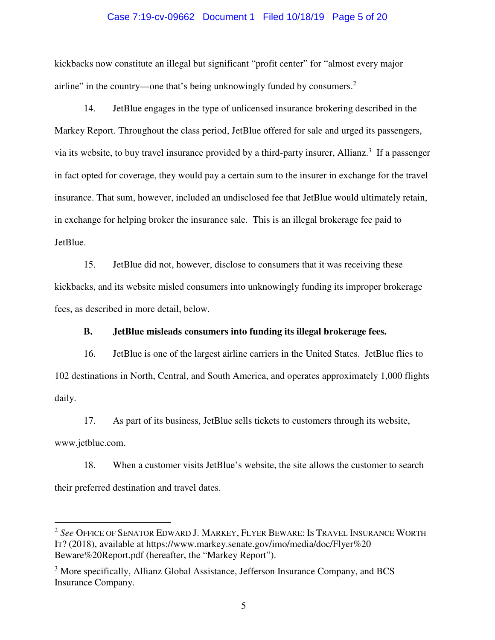## Case 7:19-cv-09662 Document 1 Filed 10/18/19 Page 5 of 20

kickbacks now constitute an illegal but significant "profit center" for "almost every major airline" in the country—one that's being unknowingly funded by consumers. $2$ 

14. JetBlue engages in the type of unlicensed insurance brokering described in the Markey Report. Throughout the class period, JetBlue offered for sale and urged its passengers, via its website, to buy travel insurance provided by a third-party insurer, Allianz.<sup>3</sup> If a passenger in fact opted for coverage, they would pay a certain sum to the insurer in exchange for the travel insurance. That sum, however, included an undisclosed fee that JetBlue would ultimately retain, in exchange for helping broker the insurance sale. This is an illegal brokerage fee paid to JetBlue.

15. JetBlue did not, however, disclose to consumers that it was receiving these kickbacks, and its website misled consumers into unknowingly funding its improper brokerage fees, as described in more detail, below.

## **B. JetBlue misleads consumers into funding its illegal brokerage fees.**

16. JetBlue is one of the largest airline carriers in the United States. JetBlue flies to 102 destinations in North, Central, and South America, and operates approximately 1,000 flights daily.

17. As part of its business, JetBlue sells tickets to customers through its website,

www.jetblue.com.

 $\overline{a}$ 

18. When a customer visits JetBlue's website, the site allows the customer to search their preferred destination and travel dates.

<sup>2</sup> *See* OFFICE OF SENATOR EDWARD J. MARKEY, FLYER BEWARE: IS TRAVEL INSURANCE WORTH IT? (2018), available at https://www.markey.senate.gov/imo/media/doc/Flyer%20 Beware%20Report.pdf (hereafter, the "Markey Report").

<sup>&</sup>lt;sup>3</sup> More specifically, Allianz Global Assistance, Jefferson Insurance Company, and BCS Insurance Company.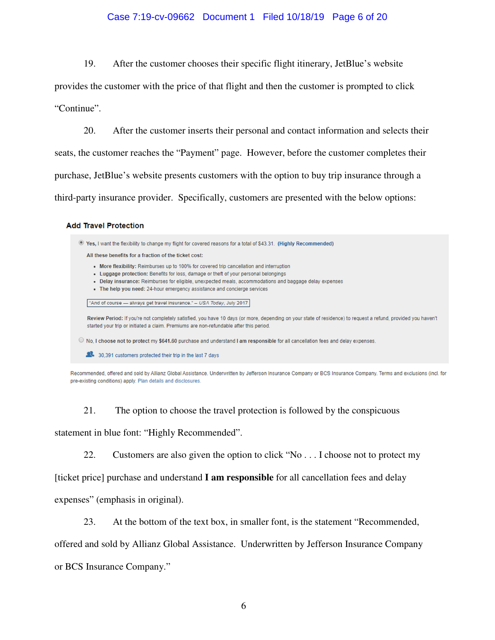# Case 7:19-cv-09662 Document 1 Filed 10/18/19 Page 6 of 20

19. After the customer chooses their specific flight itinerary, JetBlue's website

provides the customer with the price of that flight and then the customer is prompted to click

"Continue".

20. After the customer inserts their personal and contact information and selects their seats, the customer reaches the "Payment" page. However, before the customer completes their purchase, JetBlue's website presents customers with the option to buy trip insurance through a third-party insurance provider. Specifically, customers are presented with the below options:

## **Add Travel Protection**

. Yes, I want the flexibility to change my flight for covered reasons for a total of \$43.31. (Highly Recommended) All these benefits for a fraction of the ticket cost: • More flexibility: Reimburses up to 100% for covered trip cancellation and interruption • Luggage protection: Benefits for loss, damage or theft of your personal belongings · Delay insurance: Reimburses for eligible, unexpected meals, accommodations and baggage delay expenses • The help you need: 24-hour emergency assistance and concierge services "And of course - always get travel insurance." - USA Today, July 2017 Review Period: If you're not completely satisfied, you have 10 days (or more, depending on your state of residence) to request a refund, provided you haven't started your trip or initiated a claim. Premiums are non-refundable after this period. ● No, I choose not to protect my \$641.60 purchase and understand I am responsible for all cancellation fees and delay expenses. 30.391 customers protected their trip in the last 7 days

Recommended, offered and sold by Allianz Global Assistance. Underwritten by Jefferson Insurance Company or BCS Insurance Company. Terms and exclusions (incl. for pre-existing conditions) apply. Plan details and disclosures.

21. The option to choose the travel protection is followed by the conspicuous statement in blue font: "Highly Recommended".

22. Customers are also given the option to click "No . . . I choose not to protect my

[ticket price] purchase and understand **I am responsible** for all cancellation fees and delay

expenses" (emphasis in original).

23. At the bottom of the text box, in smaller font, is the statement "Recommended,

offered and sold by Allianz Global Assistance. Underwritten by Jefferson Insurance Company

or BCS Insurance Company."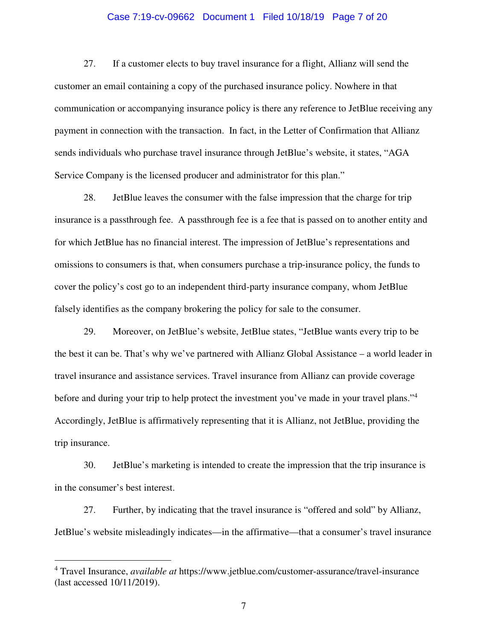## Case 7:19-cv-09662 Document 1 Filed 10/18/19 Page 7 of 20

27. If a customer elects to buy travel insurance for a flight, Allianz will send the customer an email containing a copy of the purchased insurance policy. Nowhere in that communication or accompanying insurance policy is there any reference to JetBlue receiving any payment in connection with the transaction. In fact, in the Letter of Confirmation that Allianz sends individuals who purchase travel insurance through JetBlue's website, it states, "AGA Service Company is the licensed producer and administrator for this plan."

28. JetBlue leaves the consumer with the false impression that the charge for trip insurance is a passthrough fee. A passthrough fee is a fee that is passed on to another entity and for which JetBlue has no financial interest. The impression of JetBlue's representations and omissions to consumers is that, when consumers purchase a trip-insurance policy, the funds to cover the policy's cost go to an independent third-party insurance company, whom JetBlue falsely identifies as the company brokering the policy for sale to the consumer.

29. Moreover, on JetBlue's website, JetBlue states, "JetBlue wants every trip to be the best it can be. That's why we've partnered with Allianz Global Assistance – a world leader in travel insurance and assistance services. Travel insurance from Allianz can provide coverage before and during your trip to help protect the investment you've made in your travel plans."<sup>4</sup> Accordingly, JetBlue is affirmatively representing that it is Allianz, not JetBlue, providing the trip insurance.

30. JetBlue's marketing is intended to create the impression that the trip insurance is in the consumer's best interest.

27. Further, by indicating that the travel insurance is "offered and sold" by Allianz, JetBlue's website misleadingly indicates—in the affirmative—that a consumer's travel insurance

 $\overline{a}$ 

<sup>4</sup> Travel Insurance, *available at* https://www.jetblue.com/customer-assurance/travel-insurance (last accessed 10/11/2019).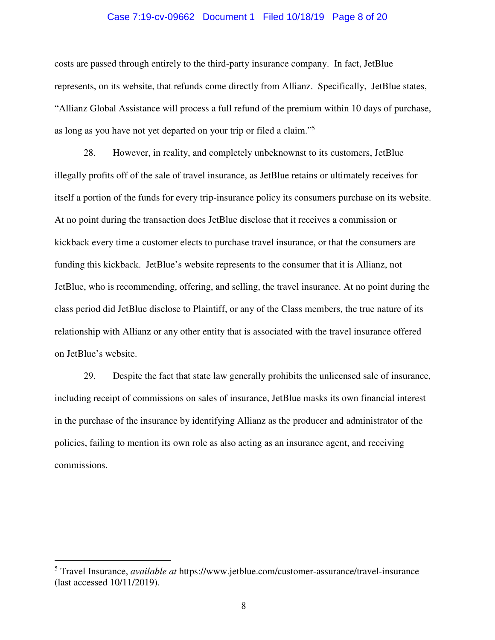## Case 7:19-cv-09662 Document 1 Filed 10/18/19 Page 8 of 20

costs are passed through entirely to the third-party insurance company. In fact, JetBlue represents, on its website, that refunds come directly from Allianz. Specifically, JetBlue states, "Allianz Global Assistance will process a full refund of the premium within 10 days of purchase, as long as you have not yet departed on your trip or filed a claim."<sup>5</sup>

28. However, in reality, and completely unbeknownst to its customers, JetBlue illegally profits off of the sale of travel insurance, as JetBlue retains or ultimately receives for itself a portion of the funds for every trip-insurance policy its consumers purchase on its website. At no point during the transaction does JetBlue disclose that it receives a commission or kickback every time a customer elects to purchase travel insurance, or that the consumers are funding this kickback. JetBlue's website represents to the consumer that it is Allianz, not JetBlue, who is recommending, offering, and selling, the travel insurance. At no point during the class period did JetBlue disclose to Plaintiff, or any of the Class members, the true nature of its relationship with Allianz or any other entity that is associated with the travel insurance offered on JetBlue's website.

29. Despite the fact that state law generally prohibits the unlicensed sale of insurance, including receipt of commissions on sales of insurance, JetBlue masks its own financial interest in the purchase of the insurance by identifying Allianz as the producer and administrator of the policies, failing to mention its own role as also acting as an insurance agent, and receiving commissions.

 $\overline{a}$ 

<sup>5</sup> Travel Insurance, *available at* https://www.jetblue.com/customer-assurance/travel-insurance (last accessed 10/11/2019).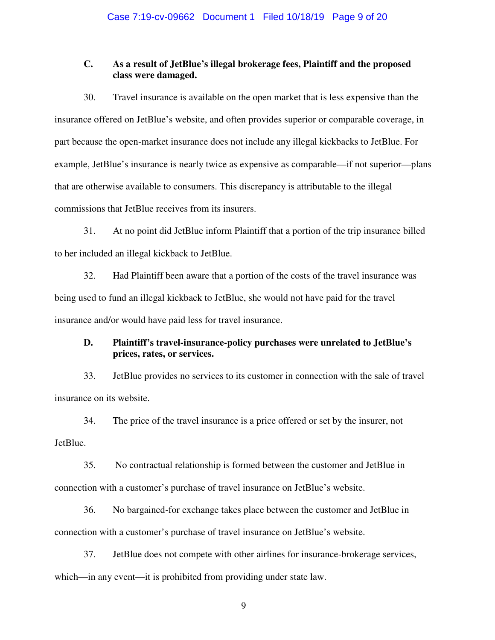# **C. As a result of JetBlue's illegal brokerage fees, Plaintiff and the proposed class were damaged.**

30. Travel insurance is available on the open market that is less expensive than the insurance offered on JetBlue's website, and often provides superior or comparable coverage, in part because the open-market insurance does not include any illegal kickbacks to JetBlue. For example, JetBlue's insurance is nearly twice as expensive as comparable—if not superior—plans that are otherwise available to consumers. This discrepancy is attributable to the illegal commissions that JetBlue receives from its insurers.

31. At no point did JetBlue inform Plaintiff that a portion of the trip insurance billed to her included an illegal kickback to JetBlue.

32. Had Plaintiff been aware that a portion of the costs of the travel insurance was being used to fund an illegal kickback to JetBlue, she would not have paid for the travel insurance and/or would have paid less for travel insurance.

# **D. Plaintiff's travel-insurance-policy purchases were unrelated to JetBlue's prices, rates, or services.**

33. JetBlue provides no services to its customer in connection with the sale of travel insurance on its website.

34. The price of the travel insurance is a price offered or set by the insurer, not JetBlue.

35. No contractual relationship is formed between the customer and JetBlue in connection with a customer's purchase of travel insurance on JetBlue's website.

36. No bargained-for exchange takes place between the customer and JetBlue in connection with a customer's purchase of travel insurance on JetBlue's website.

37. JetBlue does not compete with other airlines for insurance-brokerage services, which—in any event—it is prohibited from providing under state law.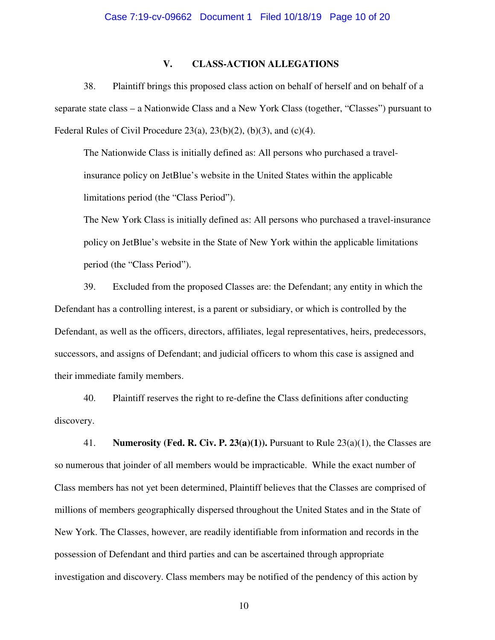## **V. CLASS-ACTION ALLEGATIONS**

38. Plaintiff brings this proposed class action on behalf of herself and on behalf of a separate state class – a Nationwide Class and a New York Class (together, "Classes") pursuant to Federal Rules of Civil Procedure  $23(a)$ ,  $23(b)(2)$ ,  $(b)(3)$ , and  $(c)(4)$ .

The Nationwide Class is initially defined as: All persons who purchased a travelinsurance policy on JetBlue's website in the United States within the applicable limitations period (the "Class Period").

The New York Class is initially defined as: All persons who purchased a travel-insurance policy on JetBlue's website in the State of New York within the applicable limitations period (the "Class Period").

39. Excluded from the proposed Classes are: the Defendant; any entity in which the Defendant has a controlling interest, is a parent or subsidiary, or which is controlled by the Defendant, as well as the officers, directors, affiliates, legal representatives, heirs, predecessors, successors, and assigns of Defendant; and judicial officers to whom this case is assigned and their immediate family members.

40. Plaintiff reserves the right to re-define the Class definitions after conducting discovery.

41. **Numerosity (Fed. R. Civ. P. 23(a)(1)).** Pursuant to Rule 23(a)(1), the Classes are so numerous that joinder of all members would be impracticable. While the exact number of Class members has not yet been determined, Plaintiff believes that the Classes are comprised of millions of members geographically dispersed throughout the United States and in the State of New York. The Classes, however, are readily identifiable from information and records in the possession of Defendant and third parties and can be ascertained through appropriate investigation and discovery. Class members may be notified of the pendency of this action by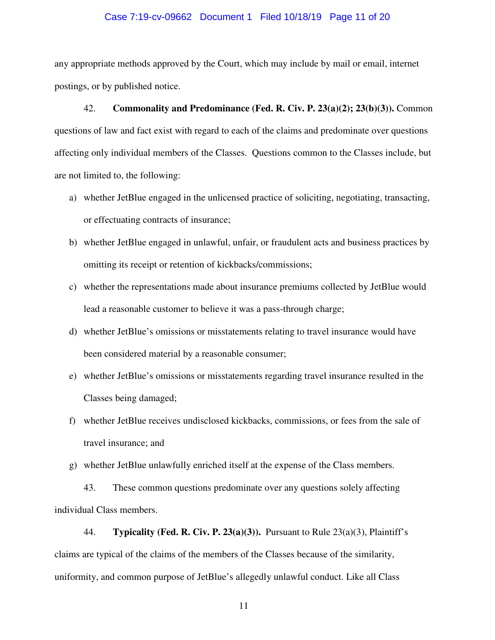#### Case 7:19-cv-09662 Document 1 Filed 10/18/19 Page 11 of 20

any appropriate methods approved by the Court, which may include by mail or email, internet postings, or by published notice.

42. **Commonality and Predominance (Fed. R. Civ. P. 23(a)(2); 23(b)(3)).** Common questions of law and fact exist with regard to each of the claims and predominate over questions affecting only individual members of the Classes. Questions common to the Classes include, but are not limited to, the following:

- a) whether JetBlue engaged in the unlicensed practice of soliciting, negotiating, transacting, or effectuating contracts of insurance;
- b) whether JetBlue engaged in unlawful, unfair, or fraudulent acts and business practices by omitting its receipt or retention of kickbacks/commissions;
- c) whether the representations made about insurance premiums collected by JetBlue would lead a reasonable customer to believe it was a pass-through charge;
- d) whether JetBlue's omissions or misstatements relating to travel insurance would have been considered material by a reasonable consumer;
- e) whether JetBlue's omissions or misstatements regarding travel insurance resulted in the Classes being damaged;
- f) whether JetBlue receives undisclosed kickbacks, commissions, or fees from the sale of travel insurance; and

g) whether JetBlue unlawfully enriched itself at the expense of the Class members.

43. These common questions predominate over any questions solely affecting individual Class members.

44. **Typicality (Fed. R. Civ. P. 23(a)(3)).** Pursuant to Rule 23(a)(3), Plaintiff's claims are typical of the claims of the members of the Classes because of the similarity, uniformity, and common purpose of JetBlue's allegedly unlawful conduct. Like all Class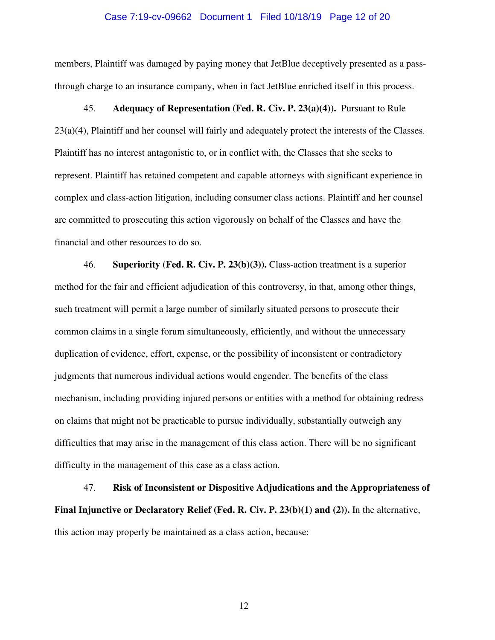## Case 7:19-cv-09662 Document 1 Filed 10/18/19 Page 12 of 20

members, Plaintiff was damaged by paying money that JetBlue deceptively presented as a passthrough charge to an insurance company, when in fact JetBlue enriched itself in this process.

45. **Adequacy of Representation (Fed. R. Civ. P. 23(a)(4)).** Pursuant to Rule  $23(a)(4)$ , Plaintiff and her counsel will fairly and adequately protect the interests of the Classes. Plaintiff has no interest antagonistic to, or in conflict with, the Classes that she seeks to represent. Plaintiff has retained competent and capable attorneys with significant experience in complex and class-action litigation, including consumer class actions. Plaintiff and her counsel are committed to prosecuting this action vigorously on behalf of the Classes and have the financial and other resources to do so.

46. **Superiority (Fed. R. Civ. P. 23(b)(3)).** Class-action treatment is a superior method for the fair and efficient adjudication of this controversy, in that, among other things, such treatment will permit a large number of similarly situated persons to prosecute their common claims in a single forum simultaneously, efficiently, and without the unnecessary duplication of evidence, effort, expense, or the possibility of inconsistent or contradictory judgments that numerous individual actions would engender. The benefits of the class mechanism, including providing injured persons or entities with a method for obtaining redress on claims that might not be practicable to pursue individually, substantially outweigh any difficulties that may arise in the management of this class action. There will be no significant difficulty in the management of this case as a class action.

47. **Risk of Inconsistent or Dispositive Adjudications and the Appropriateness of Final Injunctive or Declaratory Relief (Fed. R. Civ. P. 23(b)(1) and (2)).** In the alternative, this action may properly be maintained as a class action, because: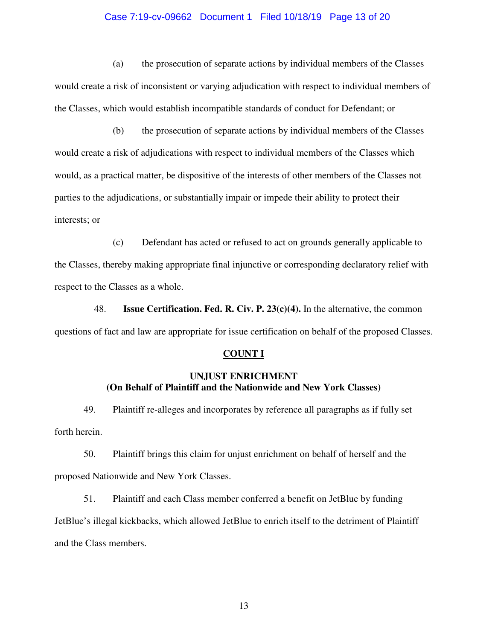## Case 7:19-cv-09662 Document 1 Filed 10/18/19 Page 13 of 20

(a) the prosecution of separate actions by individual members of the Classes would create a risk of inconsistent or varying adjudication with respect to individual members of the Classes, which would establish incompatible standards of conduct for Defendant; or

(b) the prosecution of separate actions by individual members of the Classes would create a risk of adjudications with respect to individual members of the Classes which would, as a practical matter, be dispositive of the interests of other members of the Classes not parties to the adjudications, or substantially impair or impede their ability to protect their interests; or

(c) Defendant has acted or refused to act on grounds generally applicable to the Classes, thereby making appropriate final injunctive or corresponding declaratory relief with respect to the Classes as a whole.

48. **Issue Certification. Fed. R. Civ. P. 23(c)(4).** In the alternative, the common questions of fact and law are appropriate for issue certification on behalf of the proposed Classes.

## **COUNT I**

## **UNJUST ENRICHMENT (On Behalf of Plaintiff and the Nationwide and New York Classes)**

49. Plaintiff re-alleges and incorporates by reference all paragraphs as if fully set forth herein.

50. Plaintiff brings this claim for unjust enrichment on behalf of herself and the proposed Nationwide and New York Classes.

51. Plaintiff and each Class member conferred a benefit on JetBlue by funding JetBlue's illegal kickbacks, which allowed JetBlue to enrich itself to the detriment of Plaintiff and the Class members.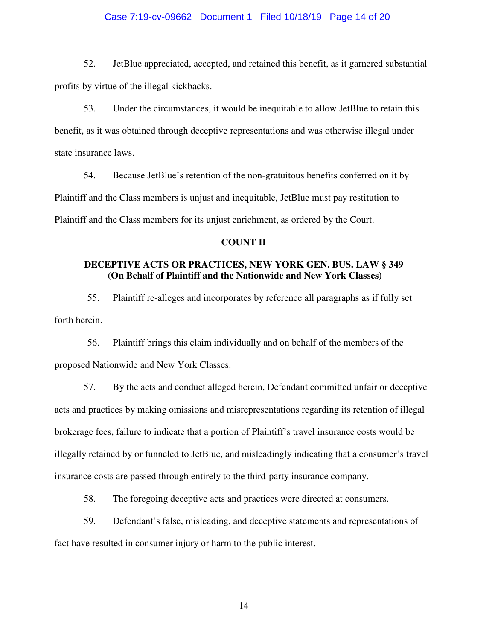## Case 7:19-cv-09662 Document 1 Filed 10/18/19 Page 14 of 20

52. JetBlue appreciated, accepted, and retained this benefit, as it garnered substantial profits by virtue of the illegal kickbacks.

53. Under the circumstances, it would be inequitable to allow JetBlue to retain this benefit, as it was obtained through deceptive representations and was otherwise illegal under state insurance laws.

54. Because JetBlue's retention of the non-gratuitous benefits conferred on it by Plaintiff and the Class members is unjust and inequitable, JetBlue must pay restitution to Plaintiff and the Class members for its unjust enrichment, as ordered by the Court.

## **COUNT II**

# **DECEPTIVE ACTS OR PRACTICES, NEW YORK GEN. BUS. LAW § 349 (On Behalf of Plaintiff and the Nationwide and New York Classes)**

55. Plaintiff re-alleges and incorporates by reference all paragraphs as if fully set forth herein.

56. Plaintiff brings this claim individually and on behalf of the members of the proposed Nationwide and New York Classes.

57. By the acts and conduct alleged herein, Defendant committed unfair or deceptive acts and practices by making omissions and misrepresentations regarding its retention of illegal brokerage fees, failure to indicate that a portion of Plaintiff's travel insurance costs would be illegally retained by or funneled to JetBlue, and misleadingly indicating that a consumer's travel insurance costs are passed through entirely to the third-party insurance company.

58. The foregoing deceptive acts and practices were directed at consumers.

59. Defendant's false, misleading, and deceptive statements and representations of fact have resulted in consumer injury or harm to the public interest.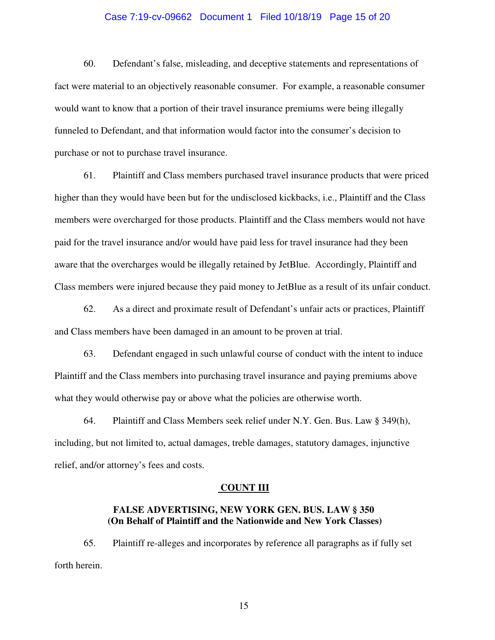## Case 7:19-cv-09662 Document 1 Filed 10/18/19 Page 15 of 20

60. Defendant's false, misleading, and deceptive statements and representations of fact were material to an objectively reasonable consumer. For example, a reasonable consumer would want to know that a portion of their travel insurance premiums were being illegally funneled to Defendant, and that information would factor into the consumer's decision to purchase or not to purchase travel insurance.

61. Plaintiff and Class members purchased travel insurance products that were priced higher than they would have been but for the undisclosed kickbacks, i.e., Plaintiff and the Class members were overcharged for those products. Plaintiff and the Class members would not have paid for the travel insurance and/or would have paid less for travel insurance had they been aware that the overcharges would be illegally retained by JetBlue. Accordingly, Plaintiff and Class members were injured because they paid money to JetBlue as a result of its unfair conduct.

62. As a direct and proximate result of Defendant's unfair acts or practices, Plaintiff and Class members have been damaged in an amount to be proven at trial.

63. Defendant engaged in such unlawful course of conduct with the intent to induce Plaintiff and the Class members into purchasing travel insurance and paying premiums above what they would otherwise pay or above what the policies are otherwise worth.

64. Plaintiff and Class Members seek relief under N.Y. Gen. Bus. Law § 349(h), including, but not limited to, actual damages, treble damages, statutory damages, injunctive relief, and/or attorney's fees and costs.

#### **COUNT III**

## **FALSE ADVERTISING, NEW YORK GEN. BUS. LAW § 350 (On Behalf of Plaintiff and the Nationwide and New York Classes)**

65. Plaintiff re-alleges and incorporates by reference all paragraphs as if fully set forth herein.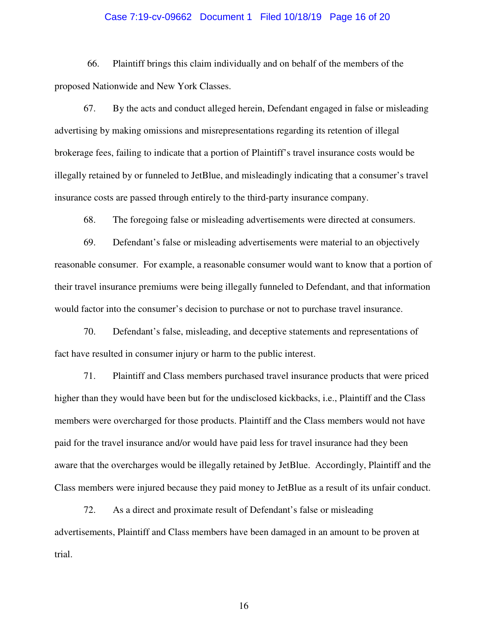## Case 7:19-cv-09662 Document 1 Filed 10/18/19 Page 16 of 20

66. Plaintiff brings this claim individually and on behalf of the members of the proposed Nationwide and New York Classes.

67. By the acts and conduct alleged herein, Defendant engaged in false or misleading advertising by making omissions and misrepresentations regarding its retention of illegal brokerage fees, failing to indicate that a portion of Plaintiff's travel insurance costs would be illegally retained by or funneled to JetBlue, and misleadingly indicating that a consumer's travel insurance costs are passed through entirely to the third-party insurance company.

68. The foregoing false or misleading advertisements were directed at consumers.

69. Defendant's false or misleading advertisements were material to an objectively reasonable consumer. For example, a reasonable consumer would want to know that a portion of their travel insurance premiums were being illegally funneled to Defendant, and that information would factor into the consumer's decision to purchase or not to purchase travel insurance.

70. Defendant's false, misleading, and deceptive statements and representations of fact have resulted in consumer injury or harm to the public interest.

71. Plaintiff and Class members purchased travel insurance products that were priced higher than they would have been but for the undisclosed kickbacks, i.e., Plaintiff and the Class members were overcharged for those products. Plaintiff and the Class members would not have paid for the travel insurance and/or would have paid less for travel insurance had they been aware that the overcharges would be illegally retained by JetBlue. Accordingly, Plaintiff and the Class members were injured because they paid money to JetBlue as a result of its unfair conduct.

72. As a direct and proximate result of Defendant's false or misleading advertisements, Plaintiff and Class members have been damaged in an amount to be proven at trial.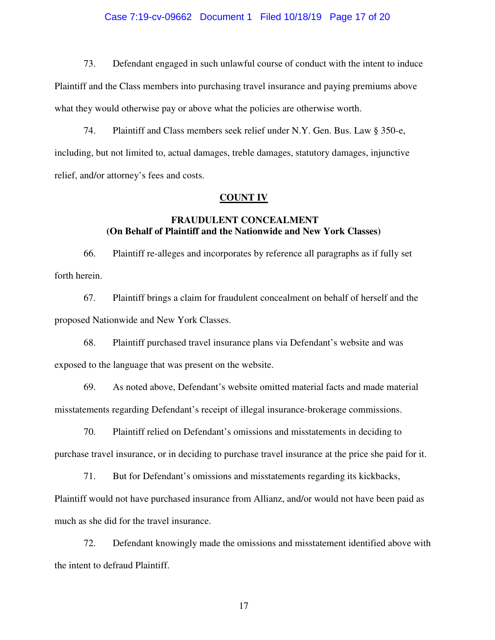## Case 7:19-cv-09662 Document 1 Filed 10/18/19 Page 17 of 20

73. Defendant engaged in such unlawful course of conduct with the intent to induce Plaintiff and the Class members into purchasing travel insurance and paying premiums above what they would otherwise pay or above what the policies are otherwise worth.

74. Plaintiff and Class members seek relief under N.Y. Gen. Bus. Law § 350-e, including, but not limited to, actual damages, treble damages, statutory damages, injunctive relief, and/or attorney's fees and costs.

#### **COUNT IV**

# **FRAUDULENT CONCEALMENT (On Behalf of Plaintiff and the Nationwide and New York Classes)**

66. Plaintiff re-alleges and incorporates by reference all paragraphs as if fully set forth herein.

67. Plaintiff brings a claim for fraudulent concealment on behalf of herself and the proposed Nationwide and New York Classes.

68. Plaintiff purchased travel insurance plans via Defendant's website and was exposed to the language that was present on the website.

69. As noted above, Defendant's website omitted material facts and made material misstatements regarding Defendant's receipt of illegal insurance-brokerage commissions.

70. Plaintiff relied on Defendant's omissions and misstatements in deciding to purchase travel insurance, or in deciding to purchase travel insurance at the price she paid for it.

71. But for Defendant's omissions and misstatements regarding its kickbacks, Plaintiff would not have purchased insurance from Allianz, and/or would not have been paid as much as she did for the travel insurance.

72. Defendant knowingly made the omissions and misstatement identified above with the intent to defraud Plaintiff.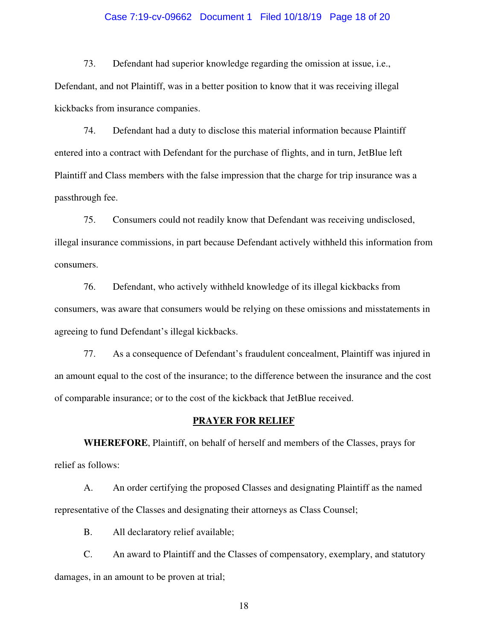## Case 7:19-cv-09662 Document 1 Filed 10/18/19 Page 18 of 20

73. Defendant had superior knowledge regarding the omission at issue, i.e., Defendant, and not Plaintiff, was in a better position to know that it was receiving illegal kickbacks from insurance companies.

74. Defendant had a duty to disclose this material information because Plaintiff entered into a contract with Defendant for the purchase of flights, and in turn, JetBlue left Plaintiff and Class members with the false impression that the charge for trip insurance was a passthrough fee.

75. Consumers could not readily know that Defendant was receiving undisclosed, illegal insurance commissions, in part because Defendant actively withheld this information from consumers.

76. Defendant, who actively withheld knowledge of its illegal kickbacks from consumers, was aware that consumers would be relying on these omissions and misstatements in agreeing to fund Defendant's illegal kickbacks.

77. As a consequence of Defendant's fraudulent concealment, Plaintiff was injured in an amount equal to the cost of the insurance; to the difference between the insurance and the cost of comparable insurance; or to the cost of the kickback that JetBlue received.

#### **PRAYER FOR RELIEF**

**WHEREFORE**, Plaintiff, on behalf of herself and members of the Classes, prays for relief as follows:

A. An order certifying the proposed Classes and designating Plaintiff as the named representative of the Classes and designating their attorneys as Class Counsel;

B. All declaratory relief available;

C. An award to Plaintiff and the Classes of compensatory, exemplary, and statutory damages, in an amount to be proven at trial;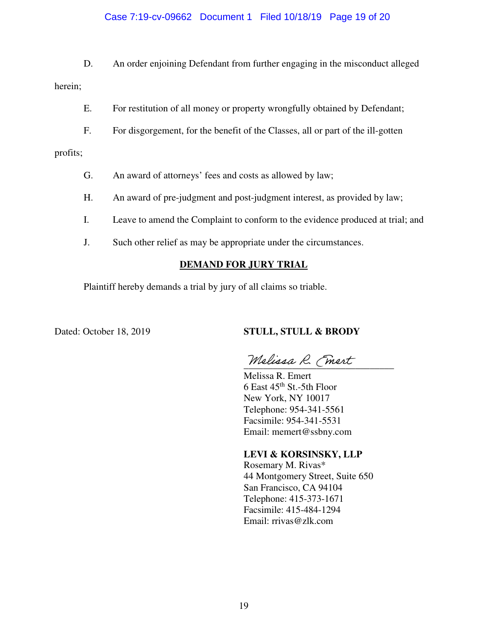## Case 7:19-cv-09662 Document 1 Filed 10/18/19 Page 19 of 20

D. An order enjoining Defendant from further engaging in the misconduct alleged herein;

- E. For restitution of all money or property wrongfully obtained by Defendant;
- F. For disgorgement, for the benefit of the Classes, all or part of the ill-gotten

profits;

- G. An award of attorneys' fees and costs as allowed by law;
- H. An award of pre-judgment and post-judgment interest, as provided by law;
- I. Leave to amend the Complaint to conform to the evidence produced at trial; and
- J. Such other relief as may be appropriate under the circumstances.

## **DEMAND FOR JURY TRIAL**

Plaintiff hereby demands a trial by jury of all claims so triable.

#### Dated: October 18, 2019 **STULL, STULL & BRODY**

Melissa R. Fmert

 Melissa R. Emert  $6$  East  $45^{\text{th}}$  St.-5th Floor New York, NY 10017 Telephone: 954-341-5561 Facsimile: 954-341-5531 Email: memert@ssbny.com

# **LEVI & KORSINSKY, LLP**

Rosemary M. Rivas\* 44 Montgomery Street, Suite 650 San Francisco, CA 94104 Telephone: 415-373-1671 Facsimile: 415-484-1294 Email: rrivas@zlk.com